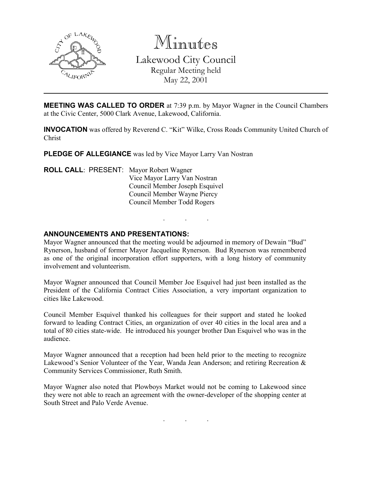

Minutes

Lakewood City Council Regular Meeting held May 22, 2001

MEETING WAS CALLED TO ORDER at 7:39 p.m. by Mayor Wagner in the Council Chambers at the Civic Center, 5000 Clark Avenue, Lakewood, California.

INVOCATION was offered by Reverend C. "Kit" Wilke, Cross Roads Community United Church of Christ

PLEDGE OF ALLEGIANCE was led by Vice Mayor Larry Van Nostran

ROLL CALL: PRESENT: Mayor Robert Wagner Vice Mayor Larry Van Nostran Council Member Joseph Esquivel Council Member Wayne Piercy Council Member Todd Rogers

## ANNOUNCEMENTS AND PRESENTATIONS:

Mayor Wagner announced that the meeting would be adjourned in memory of Dewain "Bud" Rynerson, husband of former Mayor Jacqueline Rynerson. Bud Rynerson was remembered as one of the original incorporation effort supporters, with a long history of community involvement and volunteerism.

. . .

Mayor Wagner announced that Council Member Joe Esquivel had just been installed as the President of the California Contract Cities Association, a very important organization to cities like Lakewood.

Council Member Esquivel thanked his colleagues for their support and stated he looked forward to leading Contract Cities, an organization of over 40 cities in the local area and a total of 80 cities state-wide. He introduced his younger brother Dan Esquivel who was in the audience.

Mayor Wagner announced that a reception had been held prior to the meeting to recognize Lakewood's Senior Volunteer of the Year, Wanda Jean Anderson; and retiring Recreation & Community Services Commissioner, Ruth Smith.

Mayor Wagner also noted that Plowboys Market would not be coming to Lakewood since they were not able to reach an agreement with the owner-developer of the shopping center at South Street and Palo Verde Avenue.

. . .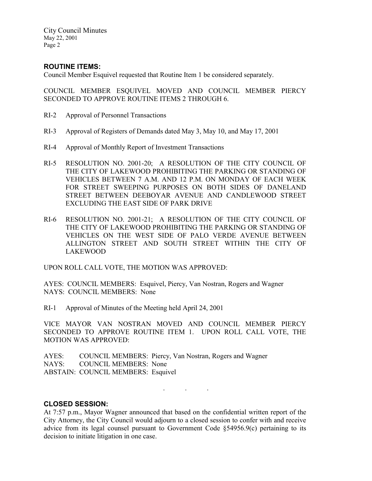### ROUTINE ITEMS:

Council Member Esquivel requested that Routine Item 1 be considered separately.

COUNCIL MEMBER ESQUIVEL MOVED AND COUNCIL MEMBER PIERCY SECONDED TO APPROVE ROUTINE ITEMS 2 THROUGH 6.

- RI-2 Approval of Personnel Transactions
- RI-3 Approval of Registers of Demands dated May 3, May 10, and May 17, 2001
- RI-4 Approval of Monthly Report of Investment Transactions
- RI-5 RESOLUTION NO. 2001-20; A RESOLUTION OF THE CITY COUNCIL OF THE CITY OF LAKEWOOD PROHIBITING THE PARKING OR STANDING OF VEHICLES BETWEEN 7 A.M. AND 12 P.M. ON MONDAY OF EACH WEEK FOR STREET SWEEPING PURPOSES ON BOTH SIDES OF DANELAND STREET BETWEEN DEEBOYAR AVENUE AND CANDLEWOOD STREET EXCLUDING THE EAST SIDE OF PARK DRIVE
- RI-6 RESOLUTION NO. 2001-21; A RESOLUTION OF THE CITY COUNCIL OF THE CITY OF LAKEWOOD PROHIBITING THE PARKING OR STANDING OF VEHICLES ON THE WEST SIDE OF PALO VERDE AVENUE BETWEEN ALLINGTON STREET AND SOUTH STREET WITHIN THE CITY OF LAKEWOOD

UPON ROLL CALL VOTE, THE MOTION WAS APPROVED:

AYES: COUNCIL MEMBERS: Esquivel, Piercy, Van Nostran, Rogers and Wagner NAYS: COUNCIL MEMBERS: None

RI-1 Approval of Minutes of the Meeting held April 24, 2001

VICE MAYOR VAN NOSTRAN MOVED AND COUNCIL MEMBER PIERCY SECONDED TO APPROVE ROUTINE ITEM 1. UPON ROLL CALL VOTE, THE MOTION WAS APPROVED:

AYES: COUNCIL MEMBERS: Piercy, Van Nostran, Rogers and Wagner NAYS: COUNCIL MEMBERS: None ABSTAIN: COUNCIL MEMBERS: Esquivel

. . .

# CLOSED SESSION:

At 7:57 p.m., Mayor Wagner announced that based on the confidential written report of the City Attorney, the City Council would adjourn to a closed session to confer with and receive advice from its legal counsel pursuant to Government Code §54956.9(c) pertaining to its decision to initiate litigation in one case.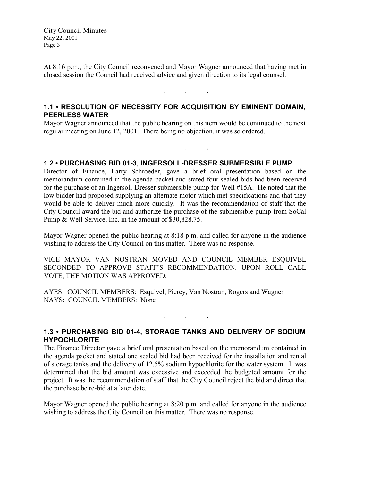At 8:16 p.m., the City Council reconvened and Mayor Wagner announced that having met in closed session the Council had received advice and given direction to its legal counsel.

## 1.1 • RESOLUTION OF NECESSITY FOR ACQUISITION BY EMINENT DOMAIN, PEERLESS WATER

. . .

Mayor Wagner announced that the public hearing on this item would be continued to the next regular meeting on June 12, 2001. There being no objection, it was so ordered.

. . .

#### 1.2 • PURCHASING BID 01-3, INGERSOLL-DRESSER SUBMERSIBLE PUMP

Director of Finance, Larry Schroeder, gave a brief oral presentation based on the memorandum contained in the agenda packet and stated four sealed bids had been received for the purchase of an Ingersoll-Dresser submersible pump for Well #15A. He noted that the low bidder had proposed supplying an alternate motor which met specifications and that they would be able to deliver much more quickly. It was the recommendation of staff that the City Council award the bid and authorize the purchase of the submersible pump from SoCal Pump & Well Service, Inc. in the amount of \$30,828.75.

Mayor Wagner opened the public hearing at 8:18 p.m. and called for anyone in the audience wishing to address the City Council on this matter. There was no response.

VICE MAYOR VAN NOSTRAN MOVED AND COUNCIL MEMBER ESQUIVEL SECONDED TO APPROVE STAFF'S RECOMMENDATION. UPON ROLL CALL VOTE, THE MOTION WAS APPROVED:

AYES: COUNCIL MEMBERS: Esquivel, Piercy, Van Nostran, Rogers and Wagner NAYS: COUNCIL MEMBERS: None

## 1.3 • PURCHASING BID 01-4, STORAGE TANKS AND DELIVERY OF SODIUM **HYPOCHLORITE**

 $\mathbf{r}$  .  $\mathbf{r}$  ,  $\mathbf{r}$  ,  $\mathbf{r}$  ,  $\mathbf{r}$  ,  $\mathbf{r}$  ,  $\mathbf{r}$ 

The Finance Director gave a brief oral presentation based on the memorandum contained in the agenda packet and stated one sealed bid had been received for the installation and rental of storage tanks and the delivery of 12.5% sodium hypochlorite for the water system. It was determined that the bid amount was excessive and exceeded the budgeted amount for the project. It was the recommendation of staff that the City Council reject the bid and direct that the purchase be re-bid at a later date.

Mayor Wagner opened the public hearing at 8:20 p.m. and called for anyone in the audience wishing to address the City Council on this matter. There was no response.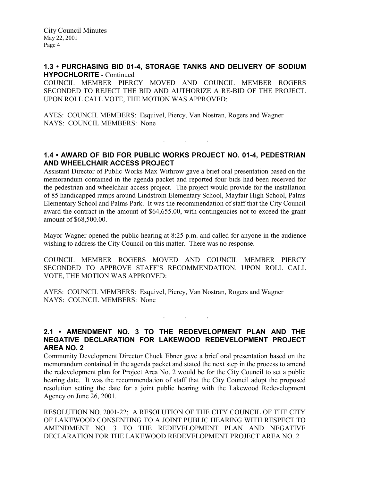#### 1.3 • PURCHASING BID 01-4, STORAGE TANKS AND DELIVERY OF SODIUM HYPOCHLORITE - Continued

COUNCIL MEMBER PIERCY MOVED AND COUNCIL MEMBER ROGERS SECONDED TO REJECT THE BID AND AUTHORIZE A RE-BID OF THE PROJECT. UPON ROLL CALL VOTE, THE MOTION WAS APPROVED:

AYES: COUNCIL MEMBERS: Esquivel, Piercy, Van Nostran, Rogers and Wagner NAYS: COUNCIL MEMBERS: None

## 1.4 • AWARD OF BID FOR PUBLIC WORKS PROJECT NO. 01-4, PEDESTRIAN AND WHEELCHAIR ACCESS PROJECT

. . .

Assistant Director of Public Works Max Withrow gave a brief oral presentation based on the memorandum contained in the agenda packet and reported four bids had been received for the pedestrian and wheelchair access project. The project would provide for the installation of 85 handicapped ramps around Lindstrom Elementary School, Mayfair High School, Palms Elementary School and Palms Park. It was the recommendation of staff that the City Council award the contract in the amount of \$64,655.00, with contingencies not to exceed the grant amount of \$68,500.00.

Mayor Wagner opened the public hearing at 8:25 p.m. and called for anyone in the audience wishing to address the City Council on this matter. There was no response.

COUNCIL MEMBER ROGERS MOVED AND COUNCIL MEMBER PIERCY SECONDED TO APPROVE STAFF'S RECOMMENDATION. UPON ROLL CALL VOTE, THE MOTION WAS APPROVED:

AYES: COUNCIL MEMBERS: Esquivel, Piercy, Van Nostran, Rogers and Wagner NAYS: COUNCIL MEMBERS: None

### 2.1 • AMENDMENT NO. 3 TO THE REDEVELOPMENT PLAN AND THE NEGATIVE DECLARATION FOR LAKEWOOD REDEVELOPMENT PROJECT AREA NO. 2

 $\mathbf{r}$  .  $\mathbf{r}$  ,  $\mathbf{r}$  ,  $\mathbf{r}$  ,  $\mathbf{r}$  ,  $\mathbf{r}$  ,  $\mathbf{r}$ 

Community Development Director Chuck Ebner gave a brief oral presentation based on the memorandum contained in the agenda packet and stated the next step in the process to amend the redevelopment plan for Project Area No. 2 would be for the City Council to set a public hearing date. It was the recommendation of staff that the City Council adopt the proposed resolution setting the date for a joint public hearing with the Lakewood Redevelopment Agency on June 26, 2001.

RESOLUTION NO. 2001-22; A RESOLUTION OF THE CITY COUNCIL OF THE CITY OF LAKEWOOD CONSENTING TO A JOINT PUBLIC HEARING WITH RESPECT TO AMENDMENT NO. 3 TO THE REDEVELOPMENT PLAN AND NEGATIVE DECLARATION FOR THE LAKEWOOD REDEVELOPMENT PROJECT AREA NO. 2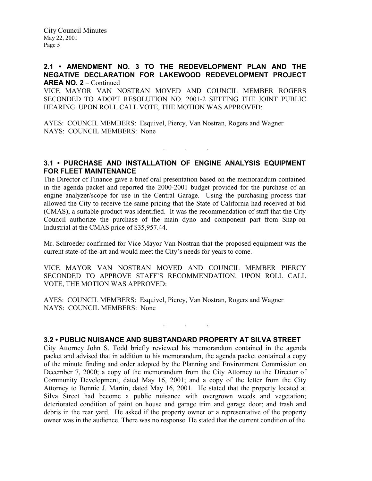#### 2.1 • AMENDMENT NO. 3 TO THE REDEVELOPMENT PLAN AND THE NEGATIVE DECLARATION FOR LAKEWOOD REDEVELOPMENT PROJECT AREA NO. 2 – Continued

VICE MAYOR VAN NOSTRAN MOVED AND COUNCIL MEMBER ROGERS SECONDED TO ADOPT RESOLUTION NO. 2001-2 SETTING THE JOINT PUBLIC HEARING. UPON ROLL CALL VOTE, THE MOTION WAS APPROVED:

AYES: COUNCIL MEMBERS: Esquivel, Piercy, Van Nostran, Rogers and Wagner NAYS: COUNCIL MEMBERS: None

#### 3.1 • PURCHASE AND INSTALLATION OF ENGINE ANALYSIS EQUIPMENT FOR FLEET MAINTENANCE

. . .

The Director of Finance gave a brief oral presentation based on the memorandum contained in the agenda packet and reported the 2000-2001 budget provided for the purchase of an engine analyzer/scope for use in the Central Garage. Using the purchasing process that allowed the City to receive the same pricing that the State of California had received at bid (CMAS), a suitable product was identified. It was the recommendation of staff that the City Council authorize the purchase of the main dyno and component part from Snap-on Industrial at the CMAS price of \$35,957.44.

Mr. Schroeder confirmed for Vice Mayor Van Nostran that the proposed equipment was the current state-of-the-art and would meet the City's needs for years to come.

VICE MAYOR VAN NOSTRAN MOVED AND COUNCIL MEMBER PIERCY SECONDED TO APPROVE STAFF'S RECOMMENDATION. UPON ROLL CALL VOTE, THE MOTION WAS APPROVED:

AYES: COUNCIL MEMBERS: Esquivel, Piercy, Van Nostran, Rogers and Wagner NAYS: COUNCIL MEMBERS: None

#### 3.2 • PUBLIC NUISANCE AND SUBSTANDARD PROPERTY AT SILVA STREET

. . .

City Attorney John S. Todd briefly reviewed his memorandum contained in the agenda packet and advised that in addition to his memorandum, the agenda packet contained a copy of the minute finding and order adopted by the Planning and Environment Commission on December 7, 2000; a copy of the memorandum from the City Attorney to the Director of Community Development, dated May 16, 2001; and a copy of the letter from the City Attorney to Bonnie J. Martin, dated May 16, 2001. He stated that the property located at Silva Street had become a public nuisance with overgrown weeds and vegetation; deteriorated condition of paint on house and garage trim and garage door; and trash and debris in the rear yard. He asked if the property owner or a representative of the property owner was in the audience. There was no response. He stated that the current condition of the